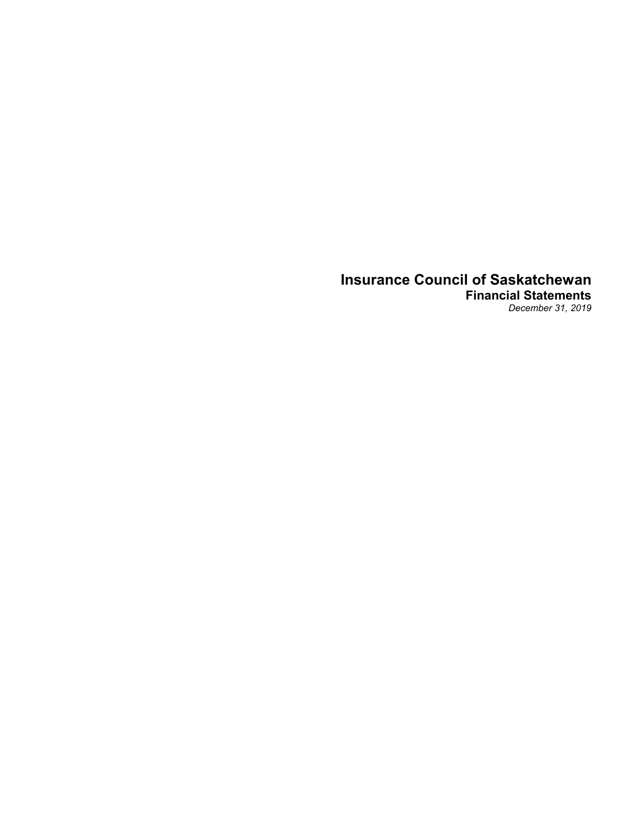# **Insurance Council of Saskatchewan Financial Statements**

*December 31, 2019*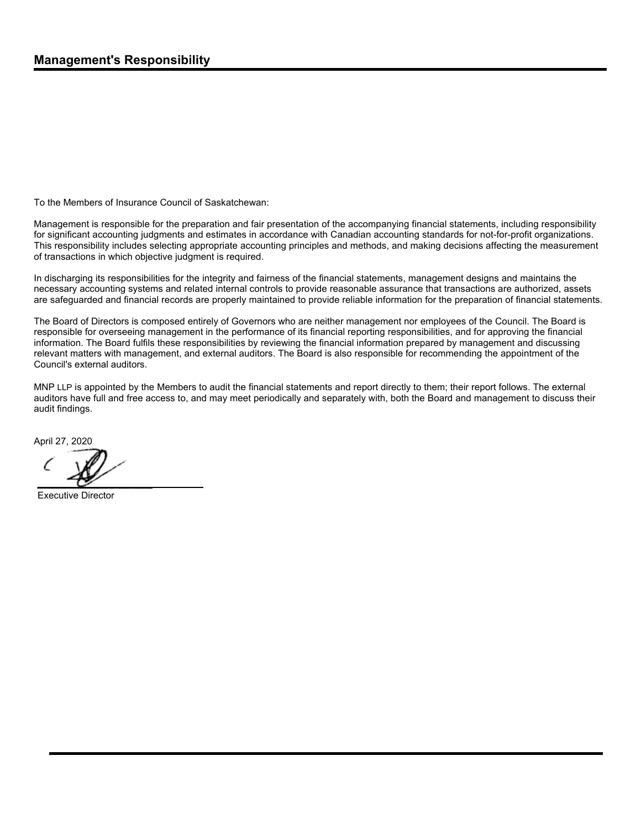To the Members of Insurance Council of Saskatchewan:

Management is responsible for the preparation and fair presentation of the accompanying financial statements, including responsibility for significant accounting judgments and estimates in accordance with Canadian accounting standards for not-for-profit organizations. This responsibility includes selecting appropriate accounting principles and methods, and making decisions affecting the measurement of transactions in which objective judgment is required.

In discharging its responsibilities for the integrity and fairness of the financial statements, management designs and maintains the necessary accounting systems and related internal controls to provide reasonable assurance that transactions are authorized, assets are safeguarded and financial records are properly maintained to provide reliable information for the preparation of financial statements.

The Board of Directors is composed entirely of Governors who are neither management nor employees of the Council. The Board is responsible for overseeing management in the performance of its financial reporting responsibilities, and for approving the financial information. The Board fulfils these responsibilities by reviewing the financial information prepared by management and discussing relevant matters with management, and external auditors. The Board is also responsible for recommending the appointment of the Council's external auditors.

MNP LLP is appointed by the Members to audit the financial statements and report directly to them; their report follows. The external auditors have full and free access to, and may meet periodically and separately with, both the Board and management to discuss their audit findings.

April 27, 2020

Executive Director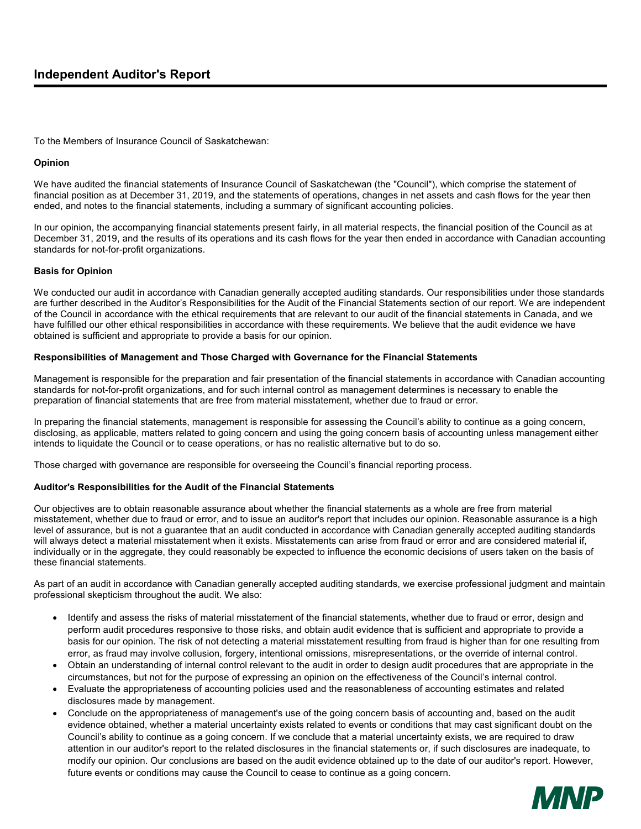# **Independent Auditor's Report**

To the Members of Insurance Council of Saskatchewan:

## **Opinion**

We have audited the financial statements of Insurance Council of Saskatchewan (the "Council"), which comprise the statement of financial position as at December 31, 2019, and the statements of operations, changes in net assets and cash flows for the year then ended, and notes to the financial statements, including a summary of significant accounting policies.

In our opinion, the accompanying financial statements present fairly, in all material respects, the financial position of the Council as at December 31, 2019, and the results of its operations and its cash flows for the year then ended in accordance with Canadian accounting standards for not-for-profit organizations.

## **Basis for Opinion**

We conducted our audit in accordance with Canadian generally accepted auditing standards. Our responsibilities under those standards are further described in the Auditor's Responsibilities for the Audit of the Financial Statements section of our report. We are independent of the Council in accordance with the ethical requirements that are relevant to our audit of the financial statements in Canada, and we have fulfilled our other ethical responsibilities in accordance with these requirements. We believe that the audit evidence we have obtained is sufficient and appropriate to provide a basis for our opinion.

# **Responsibilities of Management and Those Charged with Governance for the Financial Statements**

Management is responsible for the preparation and fair presentation of the financial statements in accordance with Canadian accounting standards for not-for-profit organizations, and for such internal control as management determines is necessary to enable the preparation of financial statements that are free from material misstatement, whether due to fraud or error.

In preparing the financial statements, management is responsible for assessing the Council's ability to continue as a going concern, disclosing, as applicable, matters related to going concern and using the going concern basis of accounting unless management either intends to liquidate the Council or to cease operations, or has no realistic alternative but to do so.

Those charged with governance are responsible for overseeing the Council's financial reporting process.

## **Auditor's Responsibilities for the Audit of the Financial Statements**

Our objectives are to obtain reasonable assurance about whether the financial statements as a whole are free from material misstatement, whether due to fraud or error, and to issue an auditor's report that includes our opinion. Reasonable assurance is a high level of assurance, but is not a guarantee that an audit conducted in accordance with Canadian generally accepted auditing standards will always detect a material misstatement when it exists. Misstatements can arise from fraud or error and are considered material if, individually or in the aggregate, they could reasonably be expected to influence the economic decisions of users taken on the basis of these financial statements.

As part of an audit in accordance with Canadian generally accepted auditing standards, we exercise professional judgment and maintain professional skepticism throughout the audit. We also:

- Identify and assess the risks of material misstatement of the financial statements, whether due to fraud or error, design and perform audit procedures responsive to those risks, and obtain audit evidence that is sufficient and appropriate to provide a basis for our opinion. The risk of not detecting a material misstatement resulting from fraud is higher than for one resulting from error, as fraud may involve collusion, forgery, intentional omissions, misrepresentations, or the override of internal control.
- Obtain an understanding of internal control relevant to the audit in order to design audit procedures that are appropriate in the circumstances, but not for the purpose of expressing an opinion on the effectiveness of the Council's internal control.
- Evaluate the appropriateness of accounting policies used and the reasonableness of accounting estimates and related disclosures made by management.
- Conclude on the appropriateness of management's use of the going concern basis of accounting and, based on the audit evidence obtained, whether a material uncertainty exists related to events or conditions that may cast significant doubt on the Council's ability to continue as a going concern. If we conclude that a material uncertainty exists, we are required to draw attention in our auditor's report to the related disclosures in the financial statements or, if such disclosures are inadequate, to modify our opinion. Our conclusions are based on the audit evidence obtained up to the date of our auditor's report. However, future events or conditions may cause the Council to cease to continue as a going concern.

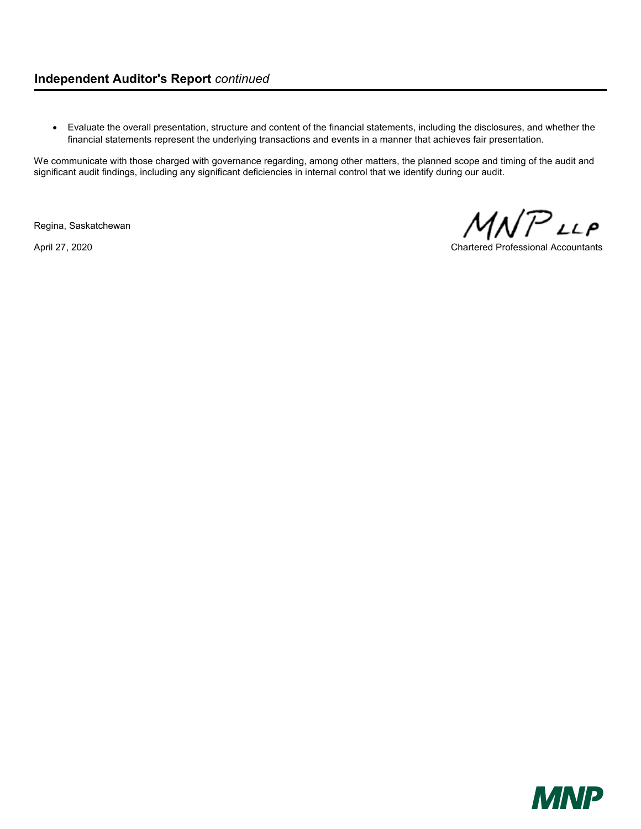Evaluate the overall presentation, structure and content of the financial statements, including the disclosures, and whether the financial statements represent the underlying transactions and events in a manner that achieves fair presentation.

We communicate with those charged with governance regarding, among other matters, the planned scope and timing of the audit and significant audit findings, including any significant deficiencies in internal control that we identify during our audit.

Regina, Saskatchewan

MNP LLP

April 27, 2020 Chartered Professional Accountants

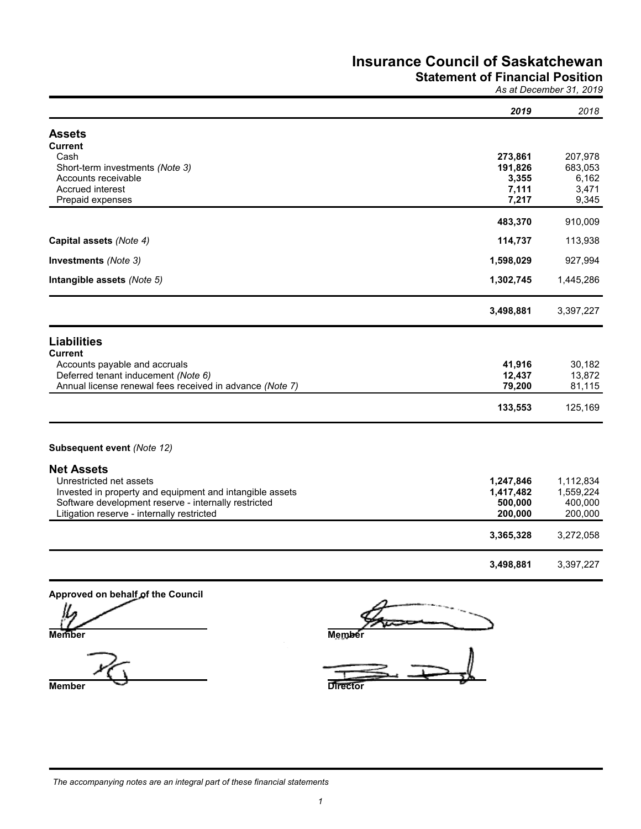# **Statement of Financial Position**

*As at December 31, 2019*

|                                                          | 2019      | 2018      |
|----------------------------------------------------------|-----------|-----------|
| <b>Assets</b>                                            |           |           |
| <b>Current</b>                                           |           |           |
| Cash                                                     | 273,861   | 207,978   |
| Short-term investments (Note 3)                          | 191,826   | 683,053   |
| Accounts receivable                                      | 3,355     | 6,162     |
| <b>Accrued interest</b>                                  | 7,111     | 3,471     |
| Prepaid expenses                                         | 7,217     | 9,345     |
|                                                          |           |           |
|                                                          | 483,370   | 910,009   |
| Capital assets (Note 4)                                  | 114,737   | 113,938   |
| Investments (Note 3)                                     | 1,598,029 | 927,994   |
| Intangible assets (Note 5)                               | 1,302,745 | 1,445,286 |
|                                                          | 3,498,881 | 3,397,227 |
| <b>Liabilities</b><br><b>Current</b>                     |           |           |
| Accounts payable and accruals                            | 41,916    | 30,182    |
| Deferred tenant inducement (Note 6)                      | 12,437    | 13,872    |
| Annual license renewal fees received in advance (Note 7) | 79,200    | 81,115    |
|                                                          |           |           |
|                                                          | 133,553   | 125,169   |
| Subsequent event (Note 12)                               |           |           |
| <b>Net Assets</b>                                        |           |           |
| Unrestricted net assets                                  | 1,247,846 | 1,112,834 |
| Invested in property and equipment and intangible assets | 1,417,482 | 1,559,224 |
| Software development reserve - internally restricted     | 500,000   | 400,000   |
| Litigation reserve - internally restricted               | 200,000   | 200,000   |
|                                                          |           |           |
|                                                          | 3,365,328 | 3,272,058 |
|                                                          | 3,498,881 | 3,397,227 |

Approved on behalf of the Council

**Member Director** 

**Member Member**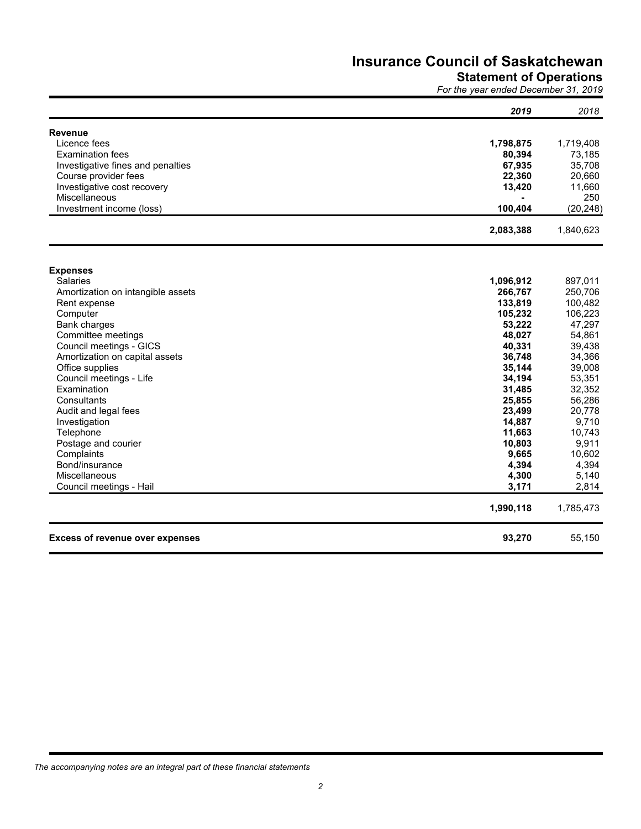# **Statement of Operations**

*For the year ended December 31, 2019*

|                                        | 2019               | 2018               |
|----------------------------------------|--------------------|--------------------|
| <b>Revenue</b>                         |                    |                    |
| Licence fees                           | 1,798,875          | 1,719,408          |
| <b>Examination fees</b>                | 80,394             | 73,185             |
| Investigative fines and penalties      | 67,935             | 35,708             |
| Course provider fees                   | 22,360             | 20,660             |
| Investigative cost recovery            | 13,420             | 11,660             |
| Miscellaneous                          |                    | 250                |
| Investment income (loss)               | 100,404            | (20, 248)          |
|                                        | 2,083,388          | 1,840,623          |
|                                        |                    |                    |
| <b>Expenses</b>                        |                    |                    |
| <b>Salaries</b>                        | 1,096,912          | 897,011            |
| Amortization on intangible assets      | 266,767            | 250,706            |
| Rent expense<br>Computer               | 133,819<br>105,232 | 100,482<br>106,223 |
| <b>Bank charges</b>                    | 53,222             | 47,297             |
| Committee meetings                     | 48,027             | 54,861             |
| Council meetings - GICS                | 40,331             | 39,438             |
| Amortization on capital assets         | 36,748             | 34,366             |
| Office supplies                        | 35,144             | 39,008             |
| Council meetings - Life                | 34,194             | 53,351             |
| Examination                            | 31,485             | 32,352             |
| Consultants                            | 25,855             | 56,286             |
| Audit and legal fees                   | 23,499             | 20,778             |
| Investigation                          | 14,887             | 9,710              |
| Telephone                              | 11,663             | 10,743             |
| Postage and courier                    | 10,803             | 9,911              |
| Complaints                             | 9,665              | 10,602             |
| Bond/insurance                         | 4,394              | 4,394              |
| Miscellaneous                          | 4,300              | 5,140              |
| Council meetings - Hail                | 3,171              | 2,814              |
|                                        | 1,990,118          | 1,785,473          |
| <b>Excess of revenue over expenses</b> | 93,270             | 55,150             |

*The accompanying notes are an integral part of these financial statements*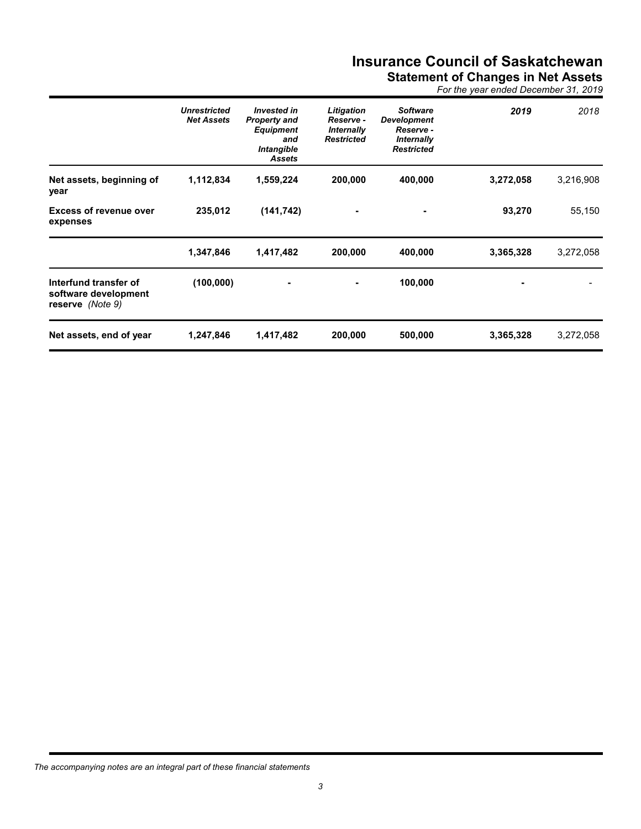**Statement of Changes in Net Assets**

*For the year ended December 31, 2019*

|                                                                   | <b>Unrestricted</b><br><b>Net Assets</b> | <b>Invested in</b><br><b>Property and</b><br><b>Equipment</b><br>and<br>Intangible<br><b>Assets</b> | Litigation<br>Reserve -<br><b>Internally</b><br><b>Restricted</b> | <b>Software</b><br><b>Development</b><br>Reserve -<br><b>Internally</b><br><b>Restricted</b> | 2019      | 2018      |
|-------------------------------------------------------------------|------------------------------------------|-----------------------------------------------------------------------------------------------------|-------------------------------------------------------------------|----------------------------------------------------------------------------------------------|-----------|-----------|
| Net assets, beginning of<br>year                                  | 1,112,834                                | 1,559,224                                                                                           | 200,000                                                           | 400,000                                                                                      | 3,272,058 | 3,216,908 |
| <b>Excess of revenue over</b><br>expenses                         | 235,012                                  | (141, 742)                                                                                          |                                                                   |                                                                                              | 93,270    | 55,150    |
|                                                                   | 1,347,846                                | 1,417,482                                                                                           | 200,000                                                           | 400,000                                                                                      | 3,365,328 | 3,272,058 |
| Interfund transfer of<br>software development<br>reserve (Note 9) | (100, 000)                               | ٠                                                                                                   |                                                                   | 100,000                                                                                      |           |           |
| Net assets, end of year                                           | 1,247,846                                | 1,417,482                                                                                           | 200,000                                                           | 500,000                                                                                      | 3,365,328 | 3,272,058 |

*The accompanying notes are an integral part of these financial statements*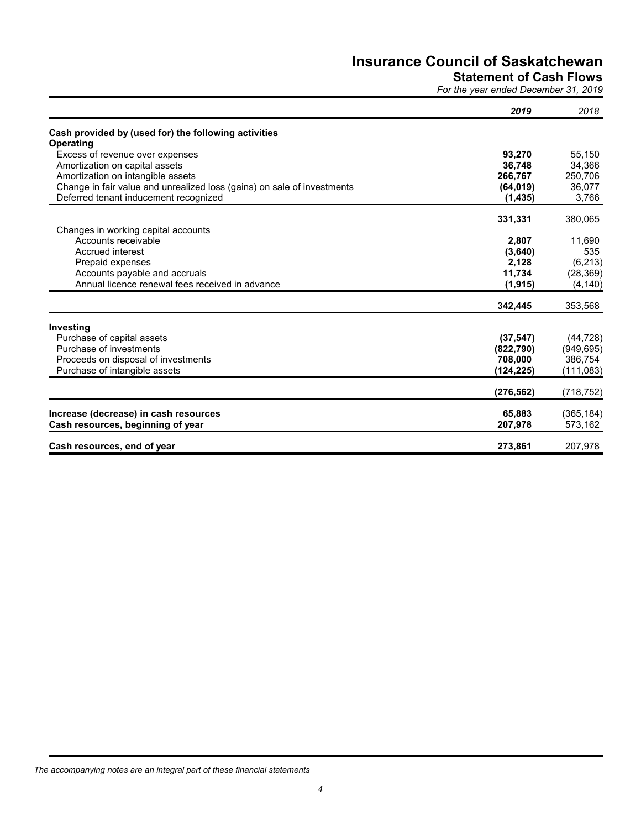# **Statement of Cash Flows**

*For the year ended December 31, 2019*

|                                                                                  | 2019       | 2018       |
|----------------------------------------------------------------------------------|------------|------------|
| Cash provided by (used for) the following activities                             |            |            |
| Operating                                                                        |            |            |
| Excess of revenue over expenses                                                  | 93,270     | 55,150     |
| Amortization on capital assets                                                   | 36,748     | 34,366     |
| Amortization on intangible assets                                                | 266,767    | 250,706    |
| Change in fair value and unrealized loss (gains) on sale of investments          | (64, 019)  | 36,077     |
| Deferred tenant inducement recognized                                            | (1, 435)   | 3,766      |
|                                                                                  | 331,331    | 380,065    |
| Changes in working capital accounts<br>Accounts receivable                       | 2,807      | 11,690     |
| Accrued interest                                                                 | (3,640)    | 535        |
|                                                                                  | 2,128      |            |
| Prepaid expenses                                                                 |            | (6, 213)   |
| Accounts payable and accruals<br>Annual licence renewal fees received in advance | 11,734     | (28, 369)  |
|                                                                                  | (1, 915)   | (4, 140)   |
|                                                                                  | 342,445    | 353,568    |
| Investing                                                                        |            |            |
| Purchase of capital assets                                                       | (37, 547)  | (44, 728)  |
| Purchase of investments                                                          | (822,790)  | (949, 695) |
| Proceeds on disposal of investments                                              | 708,000    | 386,754    |
| Purchase of intangible assets                                                    | (124, 225) | (111, 083) |
|                                                                                  | (276, 562) | (718, 752) |
| Increase (decrease) in cash resources                                            | 65,883     | (365, 184) |
|                                                                                  |            | 573,162    |
| Cash resources, beginning of year                                                | 207,978    |            |
| Cash resources, end of year                                                      | 273,861    | 207,978    |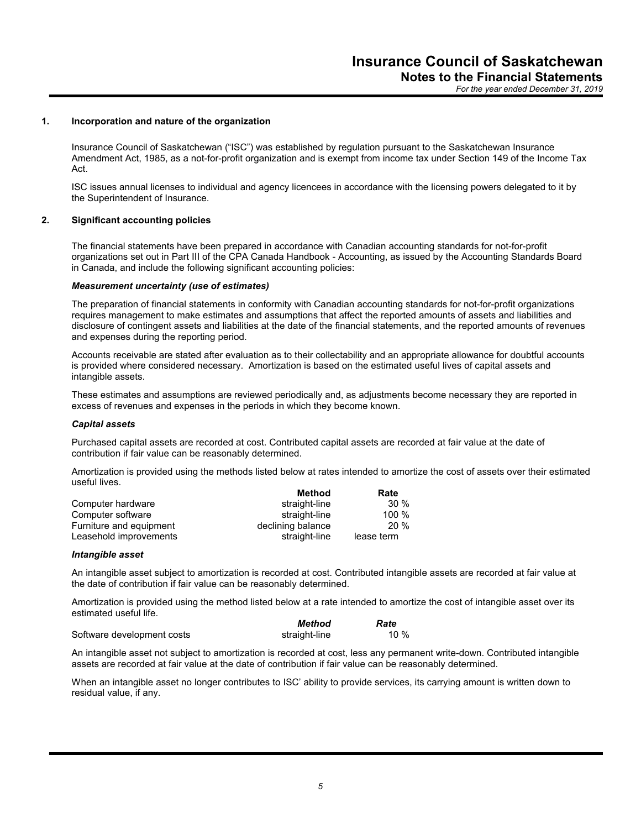*For the year ended December 31, 2019*

#### **1. Incorporation and nature of the organization**

Insurance Council of Saskatchewan ("ISC") was established by regulation pursuant to the Saskatchewan Insurance Amendment Act, 1985, as a not-for-profit organization and is exempt from income tax under Section 149 of the Income Tax Act.

ISC issues annual licenses to individual and agency licencees in accordance with the licensing powers delegated to it by the Superintendent of Insurance.

## **2. Significant accounting policies**

The financial statements have been prepared in accordance with Canadian accounting standards for not-for-profit organizations set out in Part III of the CPA Canada Handbook - Accounting, as issued by the Accounting Standards Board in Canada, and include the following significant accounting policies:

#### *Measurement uncertainty (use of estimates)*

The preparation of financial statements in conformity with Canadian accounting standards for not-for-profit organizations requires management to make estimates and assumptions that affect the reported amounts of assets and liabilities and disclosure of contingent assets and liabilities at the date of the financial statements, and the reported amounts of revenues and expenses during the reporting period.

Accounts receivable are stated after evaluation as to their collectability and an appropriate allowance for doubtful accounts is provided where considered necessary. Amortization is based on the estimated useful lives of capital assets and intangible assets.

These estimates and assumptions are reviewed periodically and, as adjustments become necessary they are reported in excess of revenues and expenses in the periods in which they become known.

#### *Capital assets*

Purchased capital assets are recorded at cost. Contributed capital assets are recorded at fair value at the date of contribution if fair value can be reasonably determined.

Amortization is provided using the methods listed below at rates intended to amortize the cost of assets over their estimated useful lives.

|                         | Method            | Rate       |
|-------------------------|-------------------|------------|
| Computer hardware       | straight-line     | $30\%$     |
| Computer software       | straight-line     | $100 \%$   |
| Furniture and equipment | declining balance | 20%        |
| Leasehold improvements  | straight-line     | lease term |

#### *Intangible asset*

An intangible asset subject to amortization is recorded at cost. Contributed intangible assets are recorded at fair value at the date of contribution if fair value can be reasonably determined.

Amortization is provided using the method listed below at a rate intended to amortize the cost of intangible asset over its estimated useful life.

|                            | Method        | Rate |
|----------------------------|---------------|------|
| Software development costs | straight-line | 10 % |

An intangible asset not subject to amortization is recorded at cost, less any permanent write-down. Contributed intangible assets are recorded at fair value at the date of contribution if fair value can be reasonably determined.

When an intangible asset no longer contributes to ISC' ability to provide services, its carrying amount is written down to residual value, if any.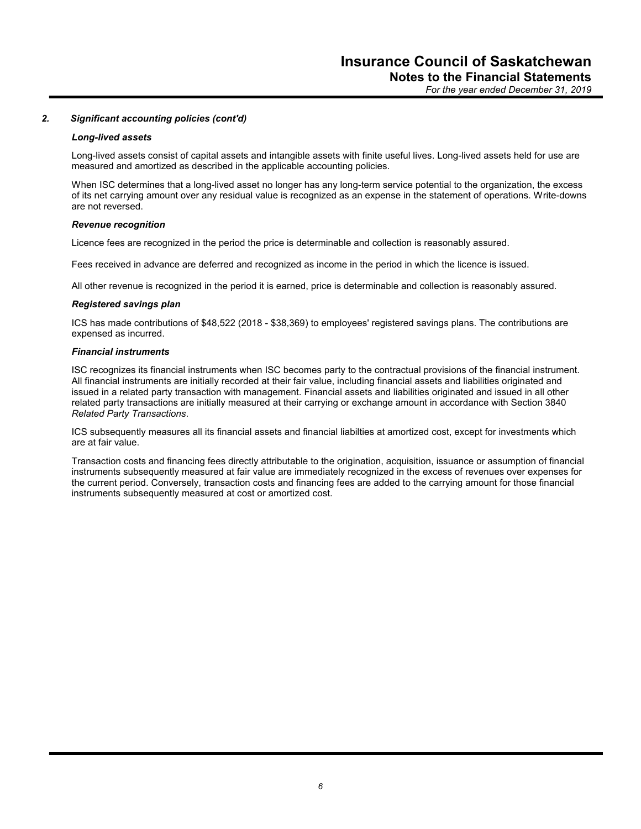*For the year ended December 31, 2019*

## *2. Significant accounting policies (cont'd)*

#### *Long-lived assets*

Long-lived assets consist of capital assets and intangible assets with finite useful lives. Long-lived assets held for use are measured and amortized as described in the applicable accounting policies.

When ISC determines that a long-lived asset no longer has any long-term service potential to the organization, the excess of its net carrying amount over any residual value is recognized as an expense in the statement of operations. Write-downs are not reversed.

#### *Revenue recognition*

Licence fees are recognized in the period the price is determinable and collection is reasonably assured.

Fees received in advance are deferred and recognized as income in the period in which the licence is issued.

All other revenue is recognized in the period it is earned, price is determinable and collection is reasonably assured.

#### *Registered savings plan*

ICS has made contributions of \$48,522 (2018 - \$38,369) to employees' registered savings plans. The contributions are expensed as incurred.

## *Financial instruments*

ISC recognizes its financial instruments when ISC becomes party to the contractual provisions of the financial instrument. All financial instruments are initially recorded at their fair value, including financial assets and liabilities originated and issued in a related party transaction with management. Financial assets and liabilities originated and issued in all other related party transactions are initially measured at their carrying or exchange amount in accordance with Section 3840 *Related Party Transactions*.

ICS subsequently measures all its financial assets and financial liabilties at amortized cost, except for investments which are at fair value.

Transaction costs and financing fees directly attributable to the origination, acquisition, issuance or assumption of financial instruments subsequently measured at fair value are immediately recognized in the excess of revenues over expenses for the current period. Conversely, transaction costs and financing fees are added to the carrying amount for those financial instruments subsequently measured at cost or amortized cost.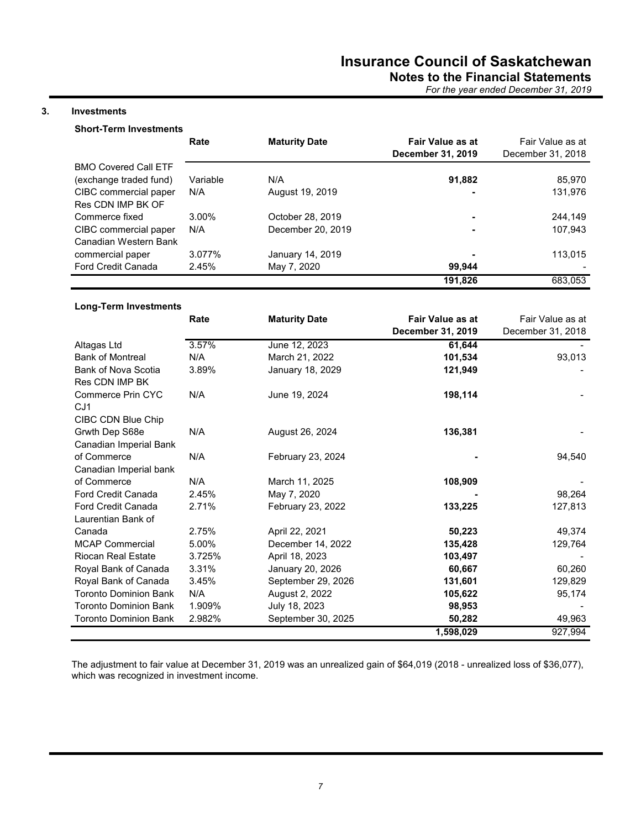# **Notes to the Financial Statements**

*For the year ended December 31, 2019*

# **3. Investments**

# **Short-Term Investments**

|                             | Rate     | <b>Maturity Date</b> | <b>Fair Value as at</b><br>December 31, 2019 | Fair Value as at<br>December 31, 2018 |
|-----------------------------|----------|----------------------|----------------------------------------------|---------------------------------------|
| <b>BMO Covered Call ETF</b> |          |                      |                                              |                                       |
| (exchange traded fund)      | Variable | N/A                  | 91,882                                       | 85,970                                |
| CIBC commercial paper       | N/A      | August 19, 2019      |                                              | 131,976                               |
| Res CDN IMP BK OF           |          |                      |                                              |                                       |
| Commerce fixed              | $3.00\%$ | October 28, 2019     |                                              | 244.149                               |
| CIBC commercial paper       | N/A      | December 20, 2019    |                                              | 107,943                               |
| Canadian Western Bank       |          |                      |                                              |                                       |
| commercial paper            | 3.077%   | January 14, 2019     |                                              | 113.015                               |
| <b>Ford Credit Canada</b>   | 2.45%    | May 7, 2020          | 99.944                                       |                                       |
|                             |          |                      | 191,826                                      | 683.053                               |

# **Long-Term Investments**

|                                                     | Rate   | <b>Maturity Date</b> | <b>Fair Value as at</b> | Fair Value as at  |
|-----------------------------------------------------|--------|----------------------|-------------------------|-------------------|
|                                                     |        |                      | December 31, 2019       | December 31, 2018 |
| Altagas Ltd                                         | 3.57%  | June 12, 2023        | 61,644                  |                   |
| <b>Bank of Montreal</b>                             | N/A    | March 21, 2022       | 101,534                 | 93,013            |
| <b>Bank of Nova Scotia</b><br><b>Res CDN IMP BK</b> | 3.89%  | January 18, 2029     | 121,949                 |                   |
| Commerce Prin CYC<br>CJ <sub>1</sub>                | N/A    | June 19, 2024        | 198,114                 |                   |
| CIBC CDN Blue Chip                                  |        |                      |                         |                   |
| Grwth Dep S68e                                      | N/A    | August 26, 2024      | 136,381                 |                   |
| Canadian Imperial Bank                              |        |                      |                         |                   |
| of Commerce                                         | N/A    | February 23, 2024    |                         | 94,540            |
| Canadian Imperial bank                              |        |                      |                         |                   |
| of Commerce                                         | N/A    | March 11, 2025       | 108,909                 |                   |
| <b>Ford Credit Canada</b>                           | 2.45%  | May 7, 2020          |                         | 98,264            |
| Ford Credit Canada                                  | 2.71%  | February 23, 2022    | 133,225                 | 127,813           |
| Laurentian Bank of                                  |        |                      |                         |                   |
| Canada                                              | 2.75%  | April 22, 2021       | 50,223                  | 49,374            |
| <b>MCAP Commercial</b>                              | 5.00%  | December 14, 2022    | 135,428                 | 129,764           |
| <b>Riocan Real Estate</b>                           | 3.725% | April 18, 2023       | 103,497                 |                   |
| Royal Bank of Canada                                | 3.31%  | January 20, 2026     | 60,667                  | 60,260            |
| Royal Bank of Canada                                | 3.45%  | September 29, 2026   | 131,601                 | 129,829           |
| <b>Toronto Dominion Bank</b>                        | N/A    | August 2, 2022       | 105,622                 | 95,174            |
| <b>Toronto Dominion Bank</b>                        | 1.909% | July 18, 2023        | 98,953                  |                   |
| <b>Toronto Dominion Bank</b>                        | 2.982% | September 30, 2025   | 50,282                  | 49,963            |
|                                                     |        |                      | 1,598,029               | 927,994           |

The adjustment to fair value at December 31, 2019 was an unrealized gain of \$64,019 (2018 - unrealized loss of \$36,077), which was recognized in investment income.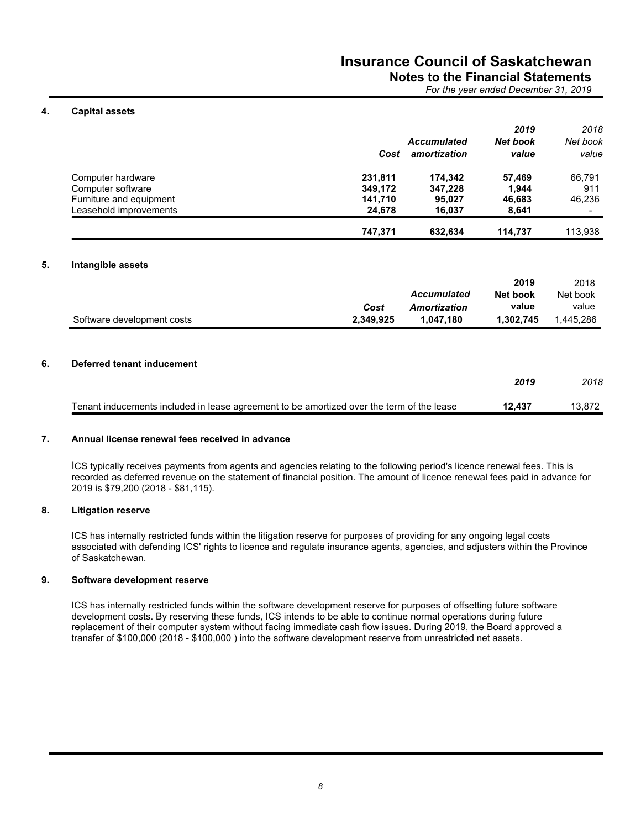# **Notes to the Financial Statements**

*For the year ended December 31, 2019*

# **4. Capital assets**

|                         |         |                    | 2019            | 2018     |
|-------------------------|---------|--------------------|-----------------|----------|
|                         |         | <b>Accumulated</b> | <b>Net book</b> | Net book |
|                         | Cost    | amortization       | value           | value    |
| Computer hardware       | 231,811 | 174.342            | 57.469          | 66.791   |
| Computer software       | 349,172 | 347.228            | 1.944           | 911      |
| Furniture and equipment | 141.710 | 95.027             | 46,683          | 46.236   |
| Leasehold improvements  | 24.678  | 16.037             | 8.641           |          |
|                         | 747.371 | 632.634            | 114.737         | 113.938  |

# **5. Intangible assets**

|                            |           |                    | 2019      | 2018      |
|----------------------------|-----------|--------------------|-----------|-----------|
|                            |           | <b>Accumulated</b> | Net book  | Net book  |
|                            | Cost      | Amortization       | value     | value     |
| Software development costs | 2.349.925 | 1.047.180          | 1.302.745 | 1.445.286 |

## **6. Deferred tenant inducement**

|                                                                                           | 2019   | 2018   |
|-------------------------------------------------------------------------------------------|--------|--------|
| Tenant inducements included in lease agreement to be amortized over the term of the lease | 12.437 | 13.872 |

## **7. Annual license renewal fees received in advance**

ICS typically receives payments from agents and agencies relating to the following period's licence renewal fees. This is recorded as deferred revenue on the statement of financial position. The amount of licence renewal fees paid in advance for 2019 is \$79,200 (2018 - \$81,115).

## **8. Litigation reserve**

ICS has internally restricted funds within the litigation reserve for purposes of providing for any ongoing legal costs associated with defending ICS' rights to licence and regulate insurance agents, agencies, and adjusters within the Province of Saskatchewan.

## **9. Software development reserve**

ICS has internally restricted funds within the software development reserve for purposes of offsetting future software development costs. By reserving these funds, ICS intends to be able to continue normal operations during future replacement of their computer system without facing immediate cash flow issues. During 2019, the Board approved a transfer of \$100,000 (2018 - \$100,000 ) into the software development reserve from unrestricted net assets.